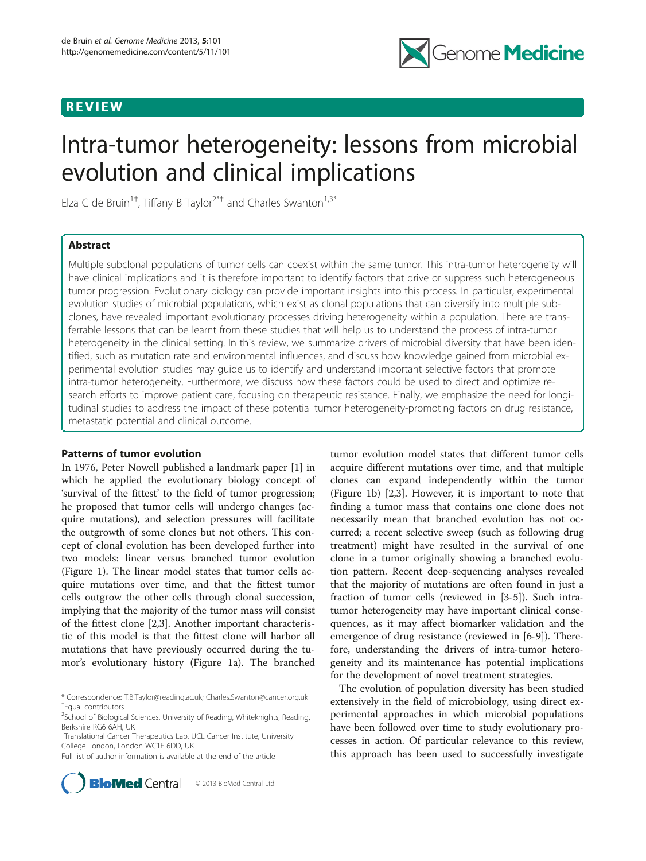## REVIEW



# Intra-tumor heterogeneity: lessons from microbial evolution and clinical implications

Elza C de Bruin<sup>1†</sup>, Tiffany B Taylor<sup>2\*†</sup> and Charles Swanton<sup>1,3\*</sup>

## Abstract

Multiple subclonal populations of tumor cells can coexist within the same tumor. This intra-tumor heterogeneity will have clinical implications and it is therefore important to identify factors that drive or suppress such heterogeneous tumor progression. Evolutionary biology can provide important insights into this process. In particular, experimental evolution studies of microbial populations, which exist as clonal populations that can diversify into multiple subclones, have revealed important evolutionary processes driving heterogeneity within a population. There are transferrable lessons that can be learnt from these studies that will help us to understand the process of intra-tumor heterogeneity in the clinical setting. In this review, we summarize drivers of microbial diversity that have been identified, such as mutation rate and environmental influences, and discuss how knowledge gained from microbial experimental evolution studies may guide us to identify and understand important selective factors that promote intra-tumor heterogeneity. Furthermore, we discuss how these factors could be used to direct and optimize research efforts to improve patient care, focusing on therapeutic resistance. Finally, we emphasize the need for longitudinal studies to address the impact of these potential tumor heterogeneity-promoting factors on drug resistance, metastatic potential and clinical outcome.

#### Patterns of tumor evolution

In 1976, Peter Nowell published a landmark paper [\[1](#page-8-0)] in which he applied the evolutionary biology concept of 'survival of the fittest' to the field of tumor progression; he proposed that tumor cells will undergo changes (acquire mutations), and selection pressures will facilitate the outgrowth of some clones but not others. This concept of clonal evolution has been developed further into two models: linear versus branched tumor evolution (Figure [1\)](#page-1-0). The linear model states that tumor cells acquire mutations over time, and that the fittest tumor cells outgrow the other cells through clonal succession, implying that the majority of the tumor mass will consist of the fittest clone [[2,3\]](#page-8-0). Another important characteristic of this model is that the fittest clone will harbor all mutations that have previously occurred during the tumor's evolutionary history (Figure [1](#page-1-0)a). The branched

tumor evolution model states that different tumor cells acquire different mutations over time, and that multiple clones can expand independently within the tumor (Figure [1b](#page-1-0)) [\[2,3](#page-8-0)]. However, it is important to note that finding a tumor mass that contains one clone does not necessarily mean that branched evolution has not occurred; a recent selective sweep (such as following drug treatment) might have resulted in the survival of one clone in a tumor originally showing a branched evolution pattern. Recent deep-sequencing analyses revealed that the majority of mutations are often found in just a fraction of tumor cells (reviewed in [[3-5](#page-8-0)]). Such intratumor heterogeneity may have important clinical consequences, as it may affect biomarker validation and the emergence of drug resistance (reviewed in [[6-9\]](#page-8-0)). Therefore, understanding the drivers of intra-tumor heterogeneity and its maintenance has potential implications for the development of novel treatment strategies.

The evolution of population diversity has been studied extensively in the field of microbiology, using direct experimental approaches in which microbial populations have been followed over time to study evolutionary processes in action. Of particular relevance to this review, this approach has been used to successfully investigate

<sup>\*</sup> Correspondence: [T.B.Taylor@reading.ac.uk](mailto:T.B.Taylor@reading.ac.uk); [Charles.Swanton@cancer.org.uk](mailto:Charles.Swanton@cancer.org.uk) † Equal contributors

<sup>&</sup>lt;sup>2</sup>School of Biological Sciences, University of Reading, Whiteknights, Reading, Berkshire RG6 6AH, UK

<sup>&</sup>lt;sup>1</sup>Translational Cancer Therapeutics Lab, UCL Cancer Institute, University College London, London WC1E 6DD, UK

Full list of author information is available at the end of the article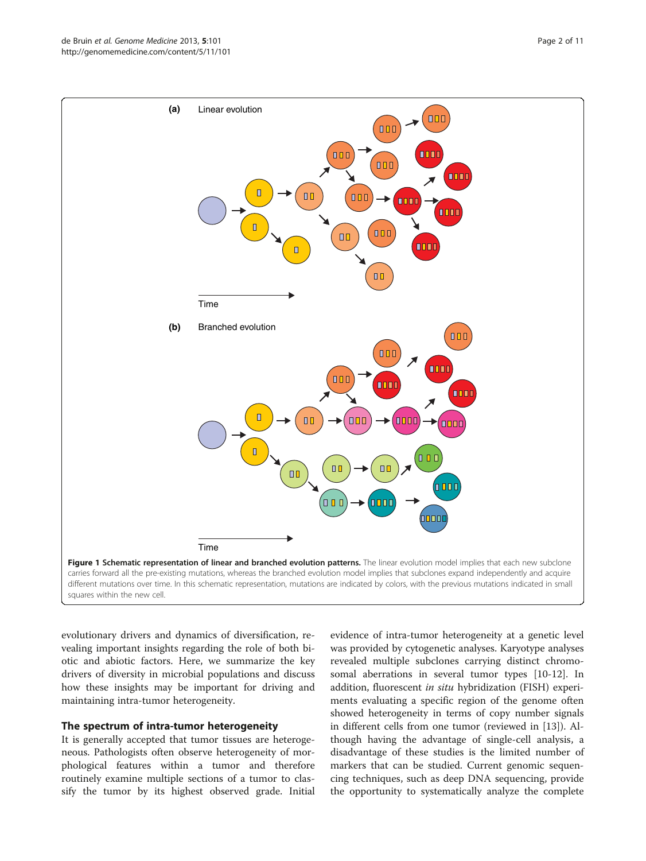<span id="page-1-0"></span>

squares within the new cell.

evolutionary drivers and dynamics of diversification, revealing important insights regarding the role of both biotic and abiotic factors. Here, we summarize the key drivers of diversity in microbial populations and discuss how these insights may be important for driving and maintaining intra-tumor heterogeneity.

## The spectrum of intra-tumor heterogeneity

It is generally accepted that tumor tissues are heterogeneous. Pathologists often observe heterogeneity of morphological features within a tumor and therefore routinely examine multiple sections of a tumor to classify the tumor by its highest observed grade. Initial

evidence of intra-tumor heterogeneity at a genetic level was provided by cytogenetic analyses. Karyotype analyses revealed multiple subclones carrying distinct chromosomal aberrations in several tumor types [\[10](#page-8-0)-[12\]](#page-8-0). In addition, fluorescent in situ hybridization (FISH) experiments evaluating a specific region of the genome often showed heterogeneity in terms of copy number signals in different cells from one tumor (reviewed in [[13](#page-8-0)]). Although having the advantage of single-cell analysis, a disadvantage of these studies is the limited number of markers that can be studied. Current genomic sequencing techniques, such as deep DNA sequencing, provide the opportunity to systematically analyze the complete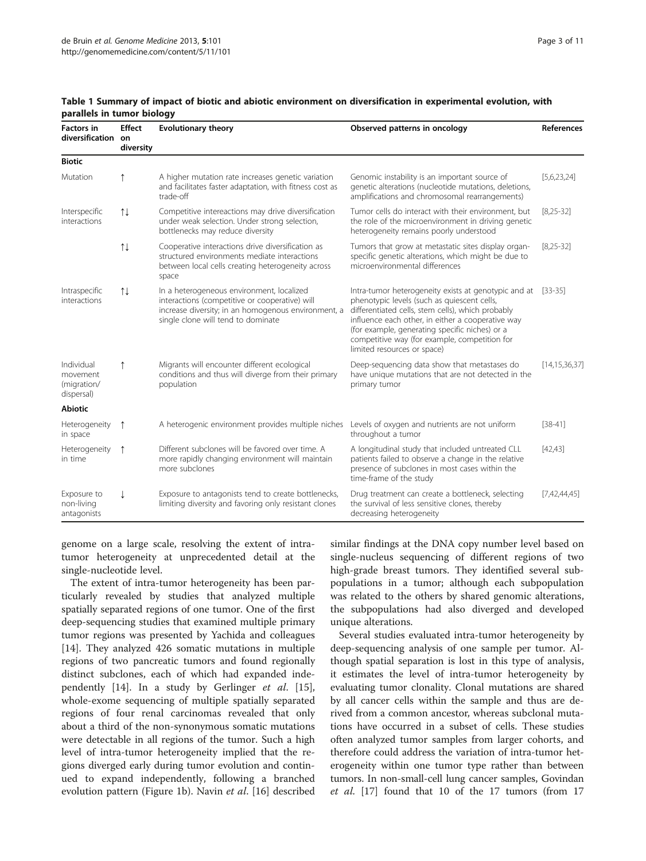| <b>Factors in</b><br>diversification                | <b>Effect</b><br>on<br>diversity | <b>Evolutionary theory</b>                                                                                                                                                               | Observed patterns in oncology                                                                                                                                                                                                                                                                                                                           | <b>References</b> |
|-----------------------------------------------------|----------------------------------|------------------------------------------------------------------------------------------------------------------------------------------------------------------------------------------|---------------------------------------------------------------------------------------------------------------------------------------------------------------------------------------------------------------------------------------------------------------------------------------------------------------------------------------------------------|-------------------|
| <b>Biotic</b>                                       |                                  |                                                                                                                                                                                          |                                                                                                                                                                                                                                                                                                                                                         |                   |
| Mutation                                            | ↑                                | A higher mutation rate increases genetic variation<br>and facilitates faster adaptation, with fitness cost as<br>trade-off                                                               | Genomic instability is an important source of<br>genetic alterations (nucleotide mutations, deletions,<br>amplifications and chromosomal rearrangements)                                                                                                                                                                                                | [5,6,23,24]       |
| Interspecific<br>interactions                       | 1l                               | Competitive intereactions may drive diversification<br>under weak selection. Under strong selection,<br>bottlenecks may reduce diversity                                                 | Tumor cells do interact with their environment, but<br>the role of the microenvironment in driving genetic<br>heterogeneity remains poorly understood                                                                                                                                                                                                   | $[8, 25 - 32]$    |
|                                                     | ⇅                                | Cooperative interactions drive diversification as<br>structured environments mediate interactions<br>between local cells creating heterogeneity across<br>space                          | Tumors that grow at metastatic sites display organ-<br>specific genetic alterations, which might be due to<br>microenvironmental differences                                                                                                                                                                                                            | $[8, 25 - 32]$    |
| Intraspecific<br>interactions                       | 1l                               | In a heterogeneous environment, localized<br>interactions (competitive or cooperative) will<br>increase diversity; in an homogenous environment, a<br>single clone will tend to dominate | Intra-tumor heterogeneity exists at genotypic and at [33-35]<br>phenotypic levels (such as quiescent cells,<br>differentiated cells, stem cells), which probably<br>influence each other, in either a cooperative way<br>(for example, generating specific niches) or a<br>competitive way (for example, competition for<br>limited resources or space) |                   |
| Individual<br>movement<br>(migration/<br>dispersal) |                                  | Migrants will encounter different ecological<br>conditions and thus will diverge from their primary<br>population                                                                        | Deep-sequencing data show that metastases do<br>have unique mutations that are not detected in the<br>primary tumor                                                                                                                                                                                                                                     | [14, 15, 36, 37]  |
| <b>Abiotic</b>                                      |                                  |                                                                                                                                                                                          |                                                                                                                                                                                                                                                                                                                                                         |                   |
| Heterogeneity<br>in space                           | $\uparrow$                       | A heterogenic environment provides multiple niches                                                                                                                                       | Levels of oxygen and nutrients are not uniform<br>throughout a tumor                                                                                                                                                                                                                                                                                    | $[38 - 41]$       |
| Heterogeneity<br>in time                            | $\uparrow$                       | Different subclones will be favored over time. A<br>more rapidly changing environment will maintain<br>more subclones                                                                    | A longitudinal study that included untreated CLL<br>patients failed to observe a change in the relative<br>presence of subclones in most cases within the<br>time-frame of the study                                                                                                                                                                    | [42, 43]          |
| Exposure to<br>non-living<br>antagonists            |                                  | Exposure to antagonists tend to create bottlenecks,<br>limiting diversity and favoring only resistant clones                                                                             | Drug treatment can create a bottleneck, selecting<br>the survival of less sensitive clones, thereby<br>decreasing heterogeneity                                                                                                                                                                                                                         | [7,42,44,45]      |

<span id="page-2-0"></span>Table 1 Summary of impact of biotic and abiotic environment on diversification in experimental evolution, with parallels in tumor biology

genome on a large scale, resolving the extent of intratumor heterogeneity at unprecedented detail at the single-nucleotide level.

The extent of intra-tumor heterogeneity has been particularly revealed by studies that analyzed multiple spatially separated regions of one tumor. One of the first deep-sequencing studies that examined multiple primary tumor regions was presented by Yachida and colleagues [[14\]](#page-8-0). They analyzed 426 somatic mutations in multiple regions of two pancreatic tumors and found regionally distinct subclones, each of which had expanded inde-pendently [\[14](#page-8-0)]. In a study by Gerlinger et al. [\[15](#page-8-0)], whole-exome sequencing of multiple spatially separated regions of four renal carcinomas revealed that only about a third of the non-synonymous somatic mutations were detectable in all regions of the tumor. Such a high level of intra-tumor heterogeneity implied that the regions diverged early during tumor evolution and continued to expand independently, following a branched evolution pattern (Figure [1b](#page-1-0)). Navin et al. [[16](#page-8-0)] described

similar findings at the DNA copy number level based on single-nucleus sequencing of different regions of two high-grade breast tumors. They identified several subpopulations in a tumor; although each subpopulation was related to the others by shared genomic alterations, the subpopulations had also diverged and developed unique alterations.

Several studies evaluated intra-tumor heterogeneity by deep-sequencing analysis of one sample per tumor. Although spatial separation is lost in this type of analysis, it estimates the level of intra-tumor heterogeneity by evaluating tumor clonality. Clonal mutations are shared by all cancer cells within the sample and thus are derived from a common ancestor, whereas subclonal mutations have occurred in a subset of cells. These studies often analyzed tumor samples from larger cohorts, and therefore could address the variation of intra-tumor heterogeneity within one tumor type rather than between tumors. In non-small-cell lung cancer samples, Govindan et al. [\[17\]](#page-8-0) found that 10 of the 17 tumors (from 17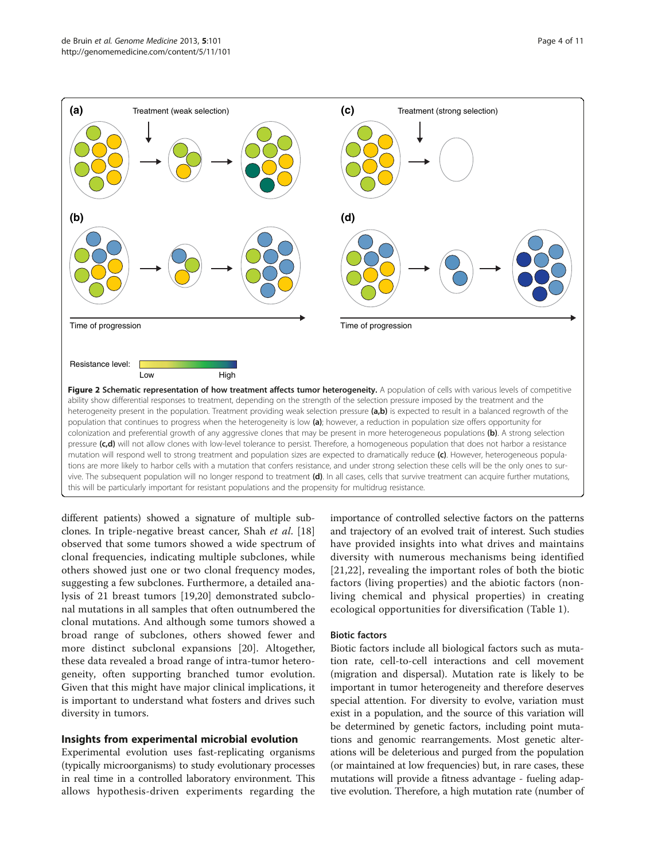<span id="page-3-0"></span>

different patients) showed a signature of multiple subclones. In triple-negative breast cancer, Shah et al. [\[18](#page-8-0)] observed that some tumors showed a wide spectrum of clonal frequencies, indicating multiple subclones, while others showed just one or two clonal frequency modes, suggesting a few subclones. Furthermore, a detailed analysis of 21 breast tumors [[19,20\]](#page-8-0) demonstrated subclonal mutations in all samples that often outnumbered the clonal mutations. And although some tumors showed a broad range of subclones, others showed fewer and more distinct subclonal expansions [[20](#page-8-0)]. Altogether, these data revealed a broad range of intra-tumor heterogeneity, often supporting branched tumor evolution. Given that this might have major clinical implications, it is important to understand what fosters and drives such diversity in tumors.

## Insights from experimental microbial evolution

Experimental evolution uses fast-replicating organisms (typically microorganisms) to study evolutionary processes in real time in a controlled laboratory environment. This allows hypothesis-driven experiments regarding the

importance of controlled selective factors on the patterns and trajectory of an evolved trait of interest. Such studies have provided insights into what drives and maintains diversity with numerous mechanisms being identified [[21,22\]](#page-8-0), revealing the important roles of both the biotic factors (living properties) and the abiotic factors (nonliving chemical and physical properties) in creating ecological opportunities for diversification (Table [1\)](#page-2-0).

#### Biotic factors

Biotic factors include all biological factors such as mutation rate, cell-to-cell interactions and cell movement (migration and dispersal). Mutation rate is likely to be important in tumor heterogeneity and therefore deserves special attention. For diversity to evolve, variation must exist in a population, and the source of this variation will be determined by genetic factors, including point mutations and genomic rearrangements. Most genetic alterations will be deleterious and purged from the population (or maintained at low frequencies) but, in rare cases, these mutations will provide a fitness advantage - fueling adaptive evolution. Therefore, a high mutation rate (number of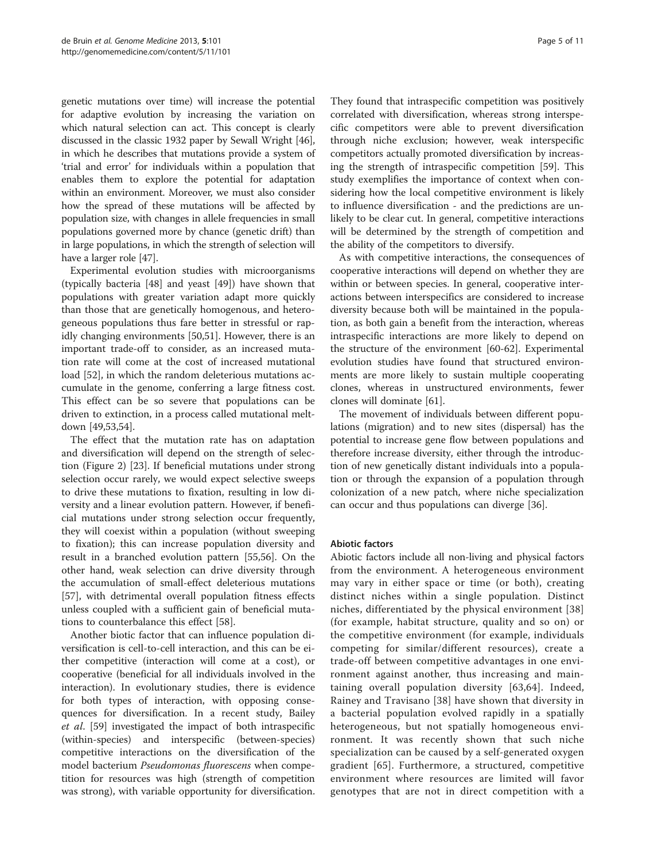genetic mutations over time) will increase the potential for adaptive evolution by increasing the variation on which natural selection can act. This concept is clearly discussed in the classic 1932 paper by Sewall Wright [[46](#page-9-0)], in which he describes that mutations provide a system of 'trial and error' for individuals within a population that enables them to explore the potential for adaptation within an environment. Moreover, we must also consider how the spread of these mutations will be affected by population size, with changes in allele frequencies in small populations governed more by chance (genetic drift) than in large populations, in which the strength of selection will have a larger role [\[47\]](#page-9-0).

Experimental evolution studies with microorganisms (typically bacteria [\[48\]](#page-9-0) and yeast [[49\]](#page-9-0)) have shown that populations with greater variation adapt more quickly than those that are genetically homogenous, and heterogeneous populations thus fare better in stressful or rapidly changing environments [\[50,51](#page-9-0)]. However, there is an important trade-off to consider, as an increased mutation rate will come at the cost of increased mutational load [\[52\]](#page-9-0), in which the random deleterious mutations accumulate in the genome, conferring a large fitness cost. This effect can be so severe that populations can be driven to extinction, in a process called mutational meltdown [\[49,53,54](#page-9-0)].

The effect that the mutation rate has on adaptation and diversification will depend on the strength of selection (Figure [2](#page-3-0)) [[23\]](#page-8-0). If beneficial mutations under strong selection occur rarely, we would expect selective sweeps to drive these mutations to fixation, resulting in low diversity and a linear evolution pattern. However, if beneficial mutations under strong selection occur frequently, they will coexist within a population (without sweeping to fixation); this can increase population diversity and result in a branched evolution pattern [\[55,56](#page-9-0)]. On the other hand, weak selection can drive diversity through the accumulation of small-effect deleterious mutations [[57\]](#page-9-0), with detrimental overall population fitness effects unless coupled with a sufficient gain of beneficial mutations to counterbalance this effect [\[58\]](#page-9-0).

Another biotic factor that can influence population diversification is cell-to-cell interaction, and this can be either competitive (interaction will come at a cost), or cooperative (beneficial for all individuals involved in the interaction). In evolutionary studies, there is evidence for both types of interaction, with opposing consequences for diversification. In a recent study, Bailey et al. [[59\]](#page-9-0) investigated the impact of both intraspecific (within-species) and interspecific (between-species) competitive interactions on the diversification of the model bacterium *Pseudomonas fluorescens* when competition for resources was high (strength of competition was strong), with variable opportunity for diversification.

They found that intraspecific competition was positively correlated with diversification, whereas strong interspecific competitors were able to prevent diversification through niche exclusion; however, weak interspecific competitors actually promoted diversification by increasing the strength of intraspecific competition [[59\]](#page-9-0). This study exemplifies the importance of context when considering how the local competitive environment is likely to influence diversification - and the predictions are unlikely to be clear cut. In general, competitive interactions will be determined by the strength of competition and the ability of the competitors to diversify.

As with competitive interactions, the consequences of cooperative interactions will depend on whether they are within or between species. In general, cooperative interactions between interspecifics are considered to increase diversity because both will be maintained in the population, as both gain a benefit from the interaction, whereas intraspecific interactions are more likely to depend on the structure of the environment [[60](#page-9-0)-[62\]](#page-9-0). Experimental evolution studies have found that structured environments are more likely to sustain multiple cooperating clones, whereas in unstructured environments, fewer clones will dominate [\[61](#page-9-0)].

The movement of individuals between different populations (migration) and to new sites (dispersal) has the potential to increase gene flow between populations and therefore increase diversity, either through the introduction of new genetically distant individuals into a population or through the expansion of a population through colonization of a new patch, where niche specialization can occur and thus populations can diverge [[36\]](#page-8-0).

#### Abiotic factors

Abiotic factors include all non-living and physical factors from the environment. A heterogeneous environment may vary in either space or time (or both), creating distinct niches within a single population. Distinct niches, differentiated by the physical environment [[38](#page-8-0)] (for example, habitat structure, quality and so on) or the competitive environment (for example, individuals competing for similar/different resources), create a trade-off between competitive advantages in one environment against another, thus increasing and maintaining overall population diversity [[63,64](#page-9-0)]. Indeed, Rainey and Travisano [[38](#page-8-0)] have shown that diversity in a bacterial population evolved rapidly in a spatially heterogeneous, but not spatially homogeneous environment. It was recently shown that such niche specialization can be caused by a self-generated oxygen gradient [[65\]](#page-9-0). Furthermore, a structured, competitive environment where resources are limited will favor genotypes that are not in direct competition with a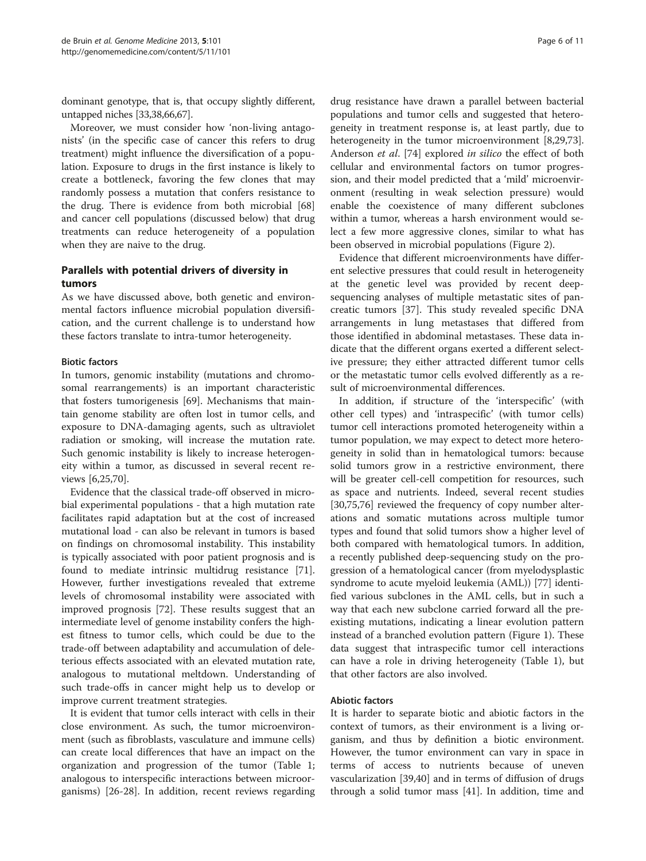dominant genotype, that is, that occupy slightly different, untapped niches [\[33,38](#page-8-0)[,66,67\]](#page-9-0).

Moreover, we must consider how 'non-living antagonists' (in the specific case of cancer this refers to drug treatment) might influence the diversification of a population. Exposure to drugs in the first instance is likely to create a bottleneck, favoring the few clones that may randomly possess a mutation that confers resistance to the drug. There is evidence from both microbial [[68](#page-9-0)] and cancer cell populations (discussed below) that drug treatments can reduce heterogeneity of a population when they are naive to the drug.

## Parallels with potential drivers of diversity in tumors

As we have discussed above, both genetic and environmental factors influence microbial population diversification, and the current challenge is to understand how these factors translate to intra-tumor heterogeneity.

## Biotic factors

In tumors, genomic instability (mutations and chromosomal rearrangements) is an important characteristic that fosters tumorigenesis [[69\]](#page-9-0). Mechanisms that maintain genome stability are often lost in tumor cells, and exposure to DNA-damaging agents, such as ultraviolet radiation or smoking, will increase the mutation rate. Such genomic instability is likely to increase heterogeneity within a tumor, as discussed in several recent reviews [[6,25,](#page-8-0)[70\]](#page-9-0).

Evidence that the classical trade-off observed in microbial experimental populations - that a high mutation rate facilitates rapid adaptation but at the cost of increased mutational load - can also be relevant in tumors is based on findings on chromosomal instability. This instability is typically associated with poor patient prognosis and is found to mediate intrinsic multidrug resistance [\[71](#page-9-0)]. However, further investigations revealed that extreme levels of chromosomal instability were associated with improved prognosis [[72\]](#page-9-0). These results suggest that an intermediate level of genome instability confers the highest fitness to tumor cells, which could be due to the trade-off between adaptability and accumulation of deleterious effects associated with an elevated mutation rate, analogous to mutational meltdown. Understanding of such trade-offs in cancer might help us to develop or improve current treatment strategies.

It is evident that tumor cells interact with cells in their close environment. As such, the tumor microenvironment (such as fibroblasts, vasculature and immune cells) can create local differences that have an impact on the organization and progression of the tumor (Table [1](#page-2-0); analogous to interspecific interactions between microorganisms) [\[26](#page-8-0)-[28\]](#page-8-0). In addition, recent reviews regarding

drug resistance have drawn a parallel between bacterial populations and tumor cells and suggested that heterogeneity in treatment response is, at least partly, due to heterogeneity in the tumor microenvironment [\[8,29](#page-8-0)[,73](#page-9-0)]. Anderson et al. [[74\]](#page-9-0) explored in silico the effect of both cellular and environmental factors on tumor progression, and their model predicted that a 'mild' microenvironment (resulting in weak selection pressure) would enable the coexistence of many different subclones within a tumor, whereas a harsh environment would select a few more aggressive clones, similar to what has been observed in microbial populations (Figure [2](#page-3-0)).

Evidence that different microenvironments have different selective pressures that could result in heterogeneity at the genetic level was provided by recent deepsequencing analyses of multiple metastatic sites of pancreatic tumors [[37\]](#page-8-0). This study revealed specific DNA arrangements in lung metastases that differed from those identified in abdominal metastases. These data indicate that the different organs exerted a different selective pressure; they either attracted different tumor cells or the metastatic tumor cells evolved differently as a result of microenvironmental differences.

In addition, if structure of the 'interspecific' (with other cell types) and 'intraspecific' (with tumor cells) tumor cell interactions promoted heterogeneity within a tumor population, we may expect to detect more heterogeneity in solid than in hematological tumors: because solid tumors grow in a restrictive environment, there will be greater cell-cell competition for resources, such as space and nutrients. Indeed, several recent studies [[30,](#page-8-0)[75,76\]](#page-9-0) reviewed the frequency of copy number alterations and somatic mutations across multiple tumor types and found that solid tumors show a higher level of both compared with hematological tumors. In addition, a recently published deep-sequencing study on the progression of a hematological cancer (from myelodysplastic syndrome to acute myeloid leukemia (AML)) [[77\]](#page-9-0) identified various subclones in the AML cells, but in such a way that each new subclone carried forward all the preexisting mutations, indicating a linear evolution pattern instead of a branched evolution pattern (Figure [1](#page-1-0)). These data suggest that intraspecific tumor cell interactions can have a role in driving heterogeneity (Table [1](#page-2-0)), but that other factors are also involved.

## Abiotic factors

It is harder to separate biotic and abiotic factors in the context of tumors, as their environment is a living organism, and thus by definition a biotic environment. However, the tumor environment can vary in space in terms of access to nutrients because of uneven vascularization [[39](#page-8-0),[40](#page-9-0)] and in terms of diffusion of drugs through a solid tumor mass [[41\]](#page-9-0). In addition, time and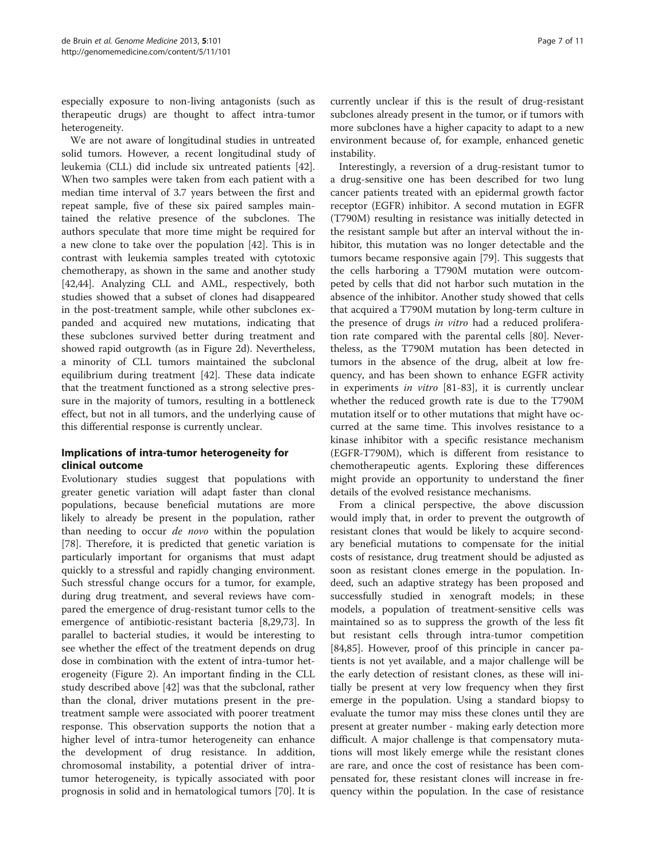especially exposure to non-living antagonists (such as therapeutic drugs) are thought to affect intra-tumor heterogeneity.

We are not aware of longitudinal studies in untreated solid tumors. However, a recent longitudinal study of leukemia (CLL) did include six untreated patients [\[42](#page-9-0)]. When two samples were taken from each patient with a median time interval of 3.7 years between the first and repeat sample, five of these six paired samples maintained the relative presence of the subclones. The authors speculate that more time might be required for a new clone to take over the population [[42\]](#page-9-0). This is in contrast with leukemia samples treated with cytotoxic chemotherapy, as shown in the same and another study [[42,44\]](#page-9-0). Analyzing CLL and AML, respectively, both studies showed that a subset of clones had disappeared in the post-treatment sample, while other subclones expanded and acquired new mutations, indicating that these subclones survived better during treatment and showed rapid outgrowth (as in Figure [2](#page-3-0)d). Nevertheless, a minority of CLL tumors maintained the subclonal equilibrium during treatment [[42\]](#page-9-0). These data indicate that the treatment functioned as a strong selective pressure in the majority of tumors, resulting in a bottleneck effect, but not in all tumors, and the underlying cause of this differential response is currently unclear.

## Implications of intra-tumor heterogeneity for clinical outcome

Evolutionary studies suggest that populations with greater genetic variation will adapt faster than clonal populations, because beneficial mutations are more likely to already be present in the population, rather than needing to occur de novo within the population [[78\]](#page-9-0). Therefore, it is predicted that genetic variation is particularly important for organisms that must adapt quickly to a stressful and rapidly changing environment. Such stressful change occurs for a tumor, for example, during drug treatment, and several reviews have compared the emergence of drug-resistant tumor cells to the emergence of antibiotic-resistant bacteria [\[8,29](#page-8-0)[,73\]](#page-9-0). In parallel to bacterial studies, it would be interesting to see whether the effect of the treatment depends on drug dose in combination with the extent of intra-tumor heterogeneity (Figure [2\)](#page-3-0). An important finding in the CLL study described above [[42\]](#page-9-0) was that the subclonal, rather than the clonal, driver mutations present in the pretreatment sample were associated with poorer treatment response. This observation supports the notion that a higher level of intra-tumor heterogeneity can enhance the development of drug resistance. In addition, chromosomal instability, a potential driver of intratumor heterogeneity, is typically associated with poor prognosis in solid and in hematological tumors [[70](#page-9-0)]. It is

currently unclear if this is the result of drug-resistant subclones already present in the tumor, or if tumors with more subclones have a higher capacity to adapt to a new environment because of, for example, enhanced genetic instability.

Interestingly, a reversion of a drug-resistant tumor to a drug-sensitive one has been described for two lung cancer patients treated with an epidermal growth factor receptor (EGFR) inhibitor. A second mutation in EGFR (T790M) resulting in resistance was initially detected in the resistant sample but after an interval without the inhibitor, this mutation was no longer detectable and the tumors became responsive again [[79](#page-9-0)]. This suggests that the cells harboring a T790M mutation were outcompeted by cells that did not harbor such mutation in the absence of the inhibitor. Another study showed that cells that acquired a T790M mutation by long-term culture in the presence of drugs in vitro had a reduced proliferation rate compared with the parental cells [\[80](#page-9-0)]. Nevertheless, as the T790M mutation has been detected in tumors in the absence of the drug, albeit at low frequency, and has been shown to enhance EGFR activity in experiments in vitro [[81-83\]](#page-9-0), it is currently unclear whether the reduced growth rate is due to the T790M mutation itself or to other mutations that might have occurred at the same time. This involves resistance to a kinase inhibitor with a specific resistance mechanism (EGFR-T790M), which is different from resistance to chemotherapeutic agents. Exploring these differences might provide an opportunity to understand the finer details of the evolved resistance mechanisms.

From a clinical perspective, the above discussion would imply that, in order to prevent the outgrowth of resistant clones that would be likely to acquire secondary beneficial mutations to compensate for the initial costs of resistance, drug treatment should be adjusted as soon as resistant clones emerge in the population. Indeed, such an adaptive strategy has been proposed and successfully studied in xenograft models; in these models, a population of treatment-sensitive cells was maintained so as to suppress the growth of the less fit but resistant cells through intra-tumor competition [[84,85\]](#page-10-0). However, proof of this principle in cancer patients is not yet available, and a major challenge will be the early detection of resistant clones, as these will initially be present at very low frequency when they first emerge in the population. Using a standard biopsy to evaluate the tumor may miss these clones until they are present at greater number - making early detection more difficult. A major challenge is that compensatory mutations will most likely emerge while the resistant clones are rare, and once the cost of resistance has been compensated for, these resistant clones will increase in frequency within the population. In the case of resistance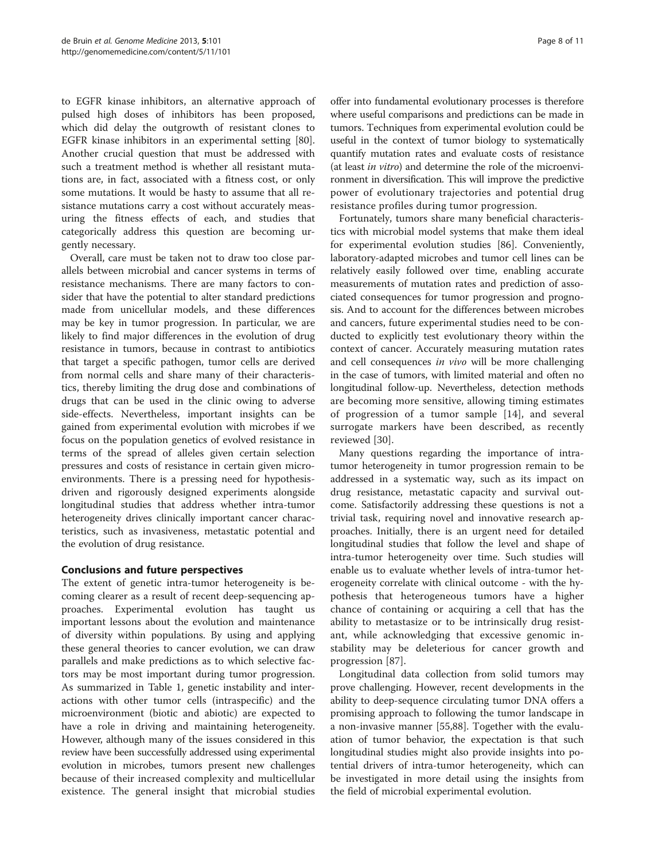to EGFR kinase inhibitors, an alternative approach of pulsed high doses of inhibitors has been proposed, which did delay the outgrowth of resistant clones to EGFR kinase inhibitors in an experimental setting [\[80](#page-9-0)]. Another crucial question that must be addressed with such a treatment method is whether all resistant mutations are, in fact, associated with a fitness cost, or only some mutations. It would be hasty to assume that all resistance mutations carry a cost without accurately measuring the fitness effects of each, and studies that categorically address this question are becoming urgently necessary.

Overall, care must be taken not to draw too close parallels between microbial and cancer systems in terms of resistance mechanisms. There are many factors to consider that have the potential to alter standard predictions made from unicellular models, and these differences may be key in tumor progression. In particular, we are likely to find major differences in the evolution of drug resistance in tumors, because in contrast to antibiotics that target a specific pathogen, tumor cells are derived from normal cells and share many of their characteristics, thereby limiting the drug dose and combinations of drugs that can be used in the clinic owing to adverse side-effects. Nevertheless, important insights can be gained from experimental evolution with microbes if we focus on the population genetics of evolved resistance in terms of the spread of alleles given certain selection pressures and costs of resistance in certain given microenvironments. There is a pressing need for hypothesisdriven and rigorously designed experiments alongside longitudinal studies that address whether intra-tumor heterogeneity drives clinically important cancer characteristics, such as invasiveness, metastatic potential and the evolution of drug resistance.

## Conclusions and future perspectives

The extent of genetic intra-tumor heterogeneity is becoming clearer as a result of recent deep-sequencing approaches. Experimental evolution has taught us important lessons about the evolution and maintenance of diversity within populations. By using and applying these general theories to cancer evolution, we can draw parallels and make predictions as to which selective factors may be most important during tumor progression. As summarized in Table [1](#page-2-0), genetic instability and interactions with other tumor cells (intraspecific) and the microenvironment (biotic and abiotic) are expected to have a role in driving and maintaining heterogeneity. However, although many of the issues considered in this review have been successfully addressed using experimental evolution in microbes, tumors present new challenges because of their increased complexity and multicellular existence. The general insight that microbial studies offer into fundamental evolutionary processes is therefore where useful comparisons and predictions can be made in tumors. Techniques from experimental evolution could be useful in the context of tumor biology to systematically quantify mutation rates and evaluate costs of resistance (at least in vitro) and determine the role of the microenvironment in diversification. This will improve the predictive power of evolutionary trajectories and potential drug resistance profiles during tumor progression.

Fortunately, tumors share many beneficial characteristics with microbial model systems that make them ideal for experimental evolution studies [[86\]](#page-10-0). Conveniently, laboratory-adapted microbes and tumor cell lines can be relatively easily followed over time, enabling accurate measurements of mutation rates and prediction of associated consequences for tumor progression and prognosis. And to account for the differences between microbes and cancers, future experimental studies need to be conducted to explicitly test evolutionary theory within the context of cancer. Accurately measuring mutation rates and cell consequences in vivo will be more challenging in the case of tumors, with limited material and often no longitudinal follow-up. Nevertheless, detection methods are becoming more sensitive, allowing timing estimates of progression of a tumor sample [[14\]](#page-8-0), and several surrogate markers have been described, as recently reviewed [[30\]](#page-8-0).

Many questions regarding the importance of intratumor heterogeneity in tumor progression remain to be addressed in a systematic way, such as its impact on drug resistance, metastatic capacity and survival outcome. Satisfactorily addressing these questions is not a trivial task, requiring novel and innovative research approaches. Initially, there is an urgent need for detailed longitudinal studies that follow the level and shape of intra-tumor heterogeneity over time. Such studies will enable us to evaluate whether levels of intra-tumor heterogeneity correlate with clinical outcome - with the hypothesis that heterogeneous tumors have a higher chance of containing or acquiring a cell that has the ability to metastasize or to be intrinsically drug resistant, while acknowledging that excessive genomic instability may be deleterious for cancer growth and progression [[87](#page-10-0)].

Longitudinal data collection from solid tumors may prove challenging. However, recent developments in the ability to deep-sequence circulating tumor DNA offers a promising approach to following the tumor landscape in a non-invasive manner [\[55](#page-9-0)[,88](#page-10-0)]. Together with the evaluation of tumor behavior, the expectation is that such longitudinal studies might also provide insights into potential drivers of intra-tumor heterogeneity, which can be investigated in more detail using the insights from the field of microbial experimental evolution.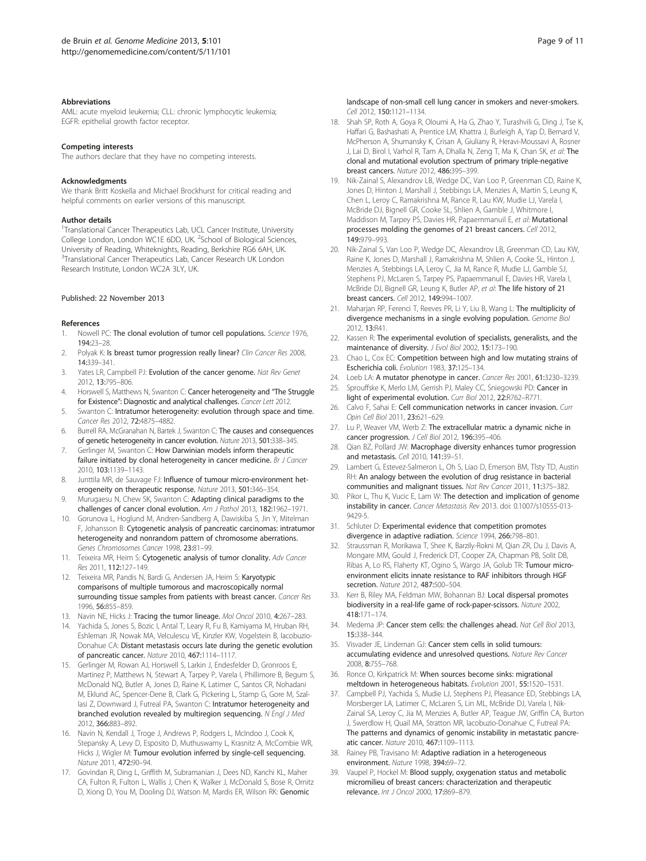#### <span id="page-8-0"></span>**Abbreviations**

AML: acute myeloid leukemia; CLL: chronic lymphocytic leukemia; EGFR: epithelial growth factor receptor.

#### Competing interests

The authors declare that they have no competing interests.

#### **Acknowledaments**

We thank Britt Koskella and Michael Brockhurst for critical reading and helpful comments on earlier versions of this manuscript.

#### Author details

<sup>1</sup>Translational Cancer Therapeutics Lab, UCL Cancer Institute, University College London, London WC1E 6DD, UK. <sup>2</sup>School of Biological Sciences, University of Reading, Whiteknights, Reading, Berkshire RG6 6AH, UK. <sup>3</sup>Translational Cancer Therapeutics Lab, Cancer Research UK London Research Institute, London WC2A 3LY, UK.

#### Published: 22 November 2013

#### References

- 1. Nowell PC: The clonal evolution of tumor cell populations. Science 1976,  $194.23 - 28$
- 2. Polyak K: Is breast tumor progression really linear? Clin Cancer Res 2008, 14:339–341.
- 3. Yates LR, Campbell PJ: Evolution of the cancer genome. Nat Rev Genet 2012, 13:795–806.
- 4. Horswell S, Matthews N, Swanton C: Cancer heterogeneity and "The Struggle for Existence": Diagnostic and analytical challenges. Cancer Lett 2012.
- 5. Swanton C: Intratumor heterogeneity: evolution through space and time. Cancer Res 2012, 72:4875–4882.
- 6. Burrell RA, McGranahan N, Bartek J, Swanton C: The causes and consequences of genetic heterogeneity in cancer evolution. Nature 2013, 501:338–345.
- 7. Gerlinger M, Swanton C: How Darwinian models inform therapeutic failure initiated by clonal heterogeneity in cancer medicine. Br J Cancer 2010, 103:1139–1143.
- 8. Junttila MR, de Sauvage FJ: Influence of tumour micro-environment heterogeneity on therapeutic response. Nature 2013, 501:346–354.
- 9. Murugaesu N, Chew SK, Swanton C: Adapting clinical paradigms to the challenges of cancer clonal evolution. Am J Pathol 2013, 182:1962–1971.
- 10. Gorunova L, Hoglund M, Andren-Sandberg A, Dawiskiba S, Jin Y, Mitelman F, Johansson B: Cytogenetic analysis of pancreatic carcinomas: intratumor heterogeneity and nonrandom pattern of chromosome aberrations. Genes Chromosomes Cancer 1998, 23:81–99.
- 11. Teixeira MR, Heim S: Cytogenetic analysis of tumor clonality. Adv Cancer Res 2011, 112:127–149.
- 12. Teixeira MR, Pandis N, Bardi G, Andersen JA, Heim S: Karyotypic comparisons of multiple tumorous and macroscopically normal surrounding tissue samples from patients with breast cancer. Cancer Res 1996, 56:855–859.
- 13. Navin NE, Hicks J: Tracing the tumor lineage. Mol Oncol 2010, 4:267-283.
- 14. Yachida S, Jones S, Bozic I, Antal T, Leary R, Fu B, Kamiyama M, Hruban RH, Eshleman JR, Nowak MA, Velculescu VE, Kinzler KW, Vogelstein B, Iacobuzio-Donahue CA: Distant metastasis occurs late during the genetic evolution of pancreatic cancer. Nature 2010, 467:1114–1117.
- 15. Gerlinger M, Rowan AJ, Horswell S, Larkin J, Endesfelder D, Gronroos E, Martinez P, Matthews N, Stewart A, Tarpey P, Varela I, Phillimore B, Begum S, McDonald NQ, Butler A, Jones D, Raine K, Latimer C, Santos CR, Nohadani M, Eklund AC, Spencer-Dene B, Clark G, Pickering L, Stamp G, Gore M, Szallasi Z, Downward J, Futreal PA, Swanton C: Intratumor heterogeneity and branched evolution revealed by multiregion sequencing. N Engl J Med 2012, 366:883–892.
- 16. Navin N, Kendall J, Troge J, Andrews P, Rodgers L, McIndoo J, Cook K, Stepansky A, Levy D, Esposito D, Muthuswamy L, Krasnitz A, McCombie WR, Hicks J, Wigler M: Tumour evolution inferred by single-cell sequencing. Nature 2011, 472:90–94.
- 17. Govindan R, Ding L, Griffith M, Subramanian J, Dees ND, Kanchi KL, Maher CA, Fulton R, Fulton L, Wallis J, Chen K, Walker J, McDonald S, Bose R, Ornitz D, Xiong D, You M, Dooling DJ, Watson M, Mardis ER, Wilson RK: Genomic

landscape of non-small cell lung cancer in smokers and never-smokers. Cell 2012, 150:1121–1134.

- 18. Shah SP, Roth A, Goya R, Oloumi A, Ha G, Zhao Y, Turashvili G, Ding J, Tse K, Haffari G, Bashashati A, Prentice LM, Khattra J, Burleigh A, Yap D, Bernard V, McPherson A, Shumansky K, Crisan A, Giuliany R, Heravi-Moussavi A, Rosner J, Lai D, Birol I, Varhol R, Tam A, Dhalla N, Zeng T, Ma K, Chan SK, et al: The clonal and mutational evolution spectrum of primary triple-negative breast cancers. Nature 2012, 486:395–399.
- 19. Nik-Zainal S, Alexandrov LB, Wedge DC, Van Loo P, Greenman CD, Raine K, Jones D, Hinton J, Marshall J, Stebbings LA, Menzies A, Martin S, Leung K, Chen L, Leroy C, Ramakrishna M, Rance R, Lau KW, Mudie LJ, Varela I, McBride DJ, Bignell GR, Cooke SL, Shlien A, Gamble J, Whitmore I, Maddison M, Tarpey PS, Davies HR, Papaemmanuil E, et al: Mutational processes molding the genomes of 21 breast cancers. Cell 2012, 149:979–993.
- 20. Nik-Zainal S, Van Loo P, Wedge DC, Alexandrov LB, Greenman CD, Lau KW, Raine K, Jones D, Marshall J, Ramakrishna M, Shlien A, Cooke SL, Hinton J, Menzies A, Stebbings LA, Leroy C, Jia M, Rance R, Mudie LJ, Gamble SJ, Stephens PJ, McLaren S, Tarpey PS, Papaemmanuil E, Davies HR, Varela I, McBride DJ, Bignell GR, Leung K, Butler AP, et al: The life history of 21 breast cancers. Cell 2012, 149:994–1007.
- 21. Maharjan RP, Ferenci T, Reeves PR, Li Y, Liu B, Wang L: The multiplicity of divergence mechanisms in a single evolving population. Genome Biol 2012, 13:R41.
- 22. Kassen R: The experimental evolution of specialists, generalists, and the maintenance of diversity. J Evol Biol 2002, 15:173-190.
- 23. Chao L, Cox EC: Competition between high and low mutating strains of Escherichia coli. Evolution 1983, 37:125–134.
- 24. Loeb LA: A mutator phenotype in cancer. Cancer Res 2001, 61:3230-3239.
- 25. Sprouffske K, Merlo LM, Gerrish PJ, Maley CC, Sniegowski PD: Cancer in light of experimental evolution. Curr Biol 2012, 22:R762–R771.
- 26. Calvo F, Sahai E: Cell communication networks in cancer invasion. Curr Opin Cell Biol 2011, 23:621–629.
- 27. Lu P, Weaver VM, Werb Z: The extracellular matrix: a dynamic niche in cancer progression. J Cell Biol 2012, 196:395-406.
- 28. Qian BZ, Pollard JW: Macrophage diversity enhances tumor progression and metastasis. Cell 2010, 141:39–51.
- 29. Lambert G, Estevez-Salmeron L, Oh S, Liao D, Emerson BM, Tlsty TD, Austin RH: An analogy between the evolution of drug resistance in bacterial communities and malignant tissues. Nat Rev Cancer 2011, 11:375–382.
- 30. Pikor L, Thu K, Vucic E, Lam W: The detection and implication of genome instability in cancer. Cancer Metastasis Rev 2013. doi: 0.1007/s10555-013- 9429-5.
- 31. Schluter D: Experimental evidence that competition promotes divergence in adaptive radiation. Science 1994, 266:798–801.
- 32. Straussman R, Morikawa T, Shee K, Barzily-Rokni M, Qian ZR, Du J, Davis A, Mongare MM, Gould J, Frederick DT, Cooper ZA, Chapman PB, Solit DB, Ribas A, Lo RS, Flaherty KT, Ogino S, Wargo JA, Golub TR: Tumour microenvironment elicits innate resistance to RAF inhibitors through HGF secretion. Nature 2012, 487:500-504.
- 33. Kerr B, Riley MA, Feldman MW, Bohannan BJ: Local dispersal promotes biodiversity in a real-life game of rock-paper-scissors. Nature 2002, 418:171–174.
- 34. Medema JP: Cancer stem cells: the challenges ahead. Nat Cell Biol 2013, 15:338–344.
- 35. Visvader JE, Lindeman GJ: Cancer stem cells in solid tumours: accumulating evidence and unresolved questions. Nature Rev Cancer 2008, 8:755–768.
- 36. Ronce O, Kirkpatrick M: When sources become sinks: migrational meltdown in heterogeneous habitats. Evolution 2001, 55:1520-1531.
- 37. Campbell PJ, Yachida S, Mudie LJ, Stephens PJ, Pleasance ED, Stebbings LA, Morsberger LA, Latimer C, McLaren S, Lin ML, McBride DJ, Varela I, Nik-Zainal SA, Leroy C, Jia M, Menzies A, Butler AP, Teague JW, Griffin CA, Burton J, Swerdlow H, Quail MA, Stratton MR, Iacobuzio-Donahue C, Futreal PA: The patterns and dynamics of genomic instability in metastatic pancreatic cancer. Nature 2010, 467:1109–1113.
- 38. Rainey PB, Travisano M: Adaptive radiation in a heterogeneous environment. Nature 1998, 394:69–72.
- 39. Vaupel P, Hockel M: Blood supply, oxygenation status and metabolic micromilieu of breast cancers: characterization and therapeutic relevance. Int J Oncol 2000, 17:869–879.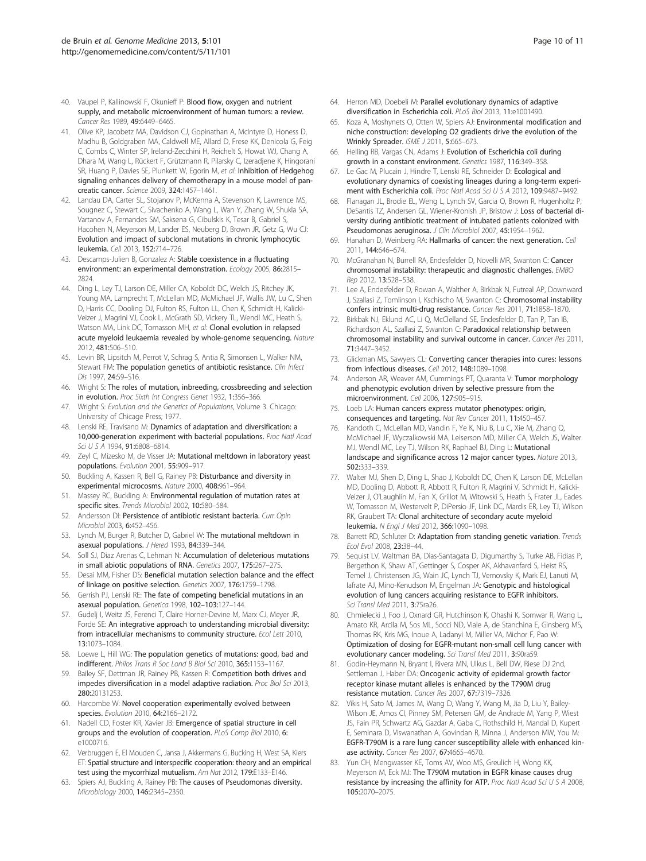- <span id="page-9-0"></span>40. Vaupel P, Kallinowski F, Okunieff P: Blood flow, oxygen and nutrient supply, and metabolic microenvironment of human tumors: a review. Cancer Res 1989, 49:6449–6465.
- 41. Olive KP, Jacobetz MA, Davidson CJ, Gopinathan A, McIntyre D, Honess D, Madhu B, Goldgraben MA, Caldwell ME, Allard D, Frese KK, Denicola G, Feig C, Combs C, Winter SP, Ireland-Zecchini H, Reichelt S, Howat WJ, Chang A, Dhara M, Wang L, Rückert F, Grützmann R, Pilarsky C, Izeradjene K, Hingorani SR, Huang P, Davies SE, Plunkett W, Egorin M, et al: Inhibition of Hedgehog signaling enhances delivery of chemotherapy in a mouse model of pancreatic cancer. Science 2009, 324:1457–1461.
- 42. Landau DA, Carter SL, Stojanov P, McKenna A, Stevenson K, Lawrence MS, Sougnez C, Stewart C, Sivachenko A, Wang L, Wan Y, Zhang W, Shukla SA, Vartanov A, Fernandes SM, Saksena G, Cibulskis K, Tesar B, Gabriel S, Hacohen N, Meyerson M, Lander ES, Neuberg D, Brown JR, Getz G, Wu CJ: Evolution and impact of subclonal mutations in chronic lymphocytic leukemia. Cell 2013, 152:714–726.
- 43. Descamps-Julien B, Gonzalez A: Stable coexistence in a fluctuating environment: an experimental demonstration. Ecology 2005, 86:2815– 2824.
- 44. Ding L, Ley TJ, Larson DE, Miller CA, Koboldt DC, Welch JS, Ritchey JK, Young MA, Lamprecht T, McLellan MD, McMichael JF, Wallis JW, Lu C, Shen D, Harris CC, Dooling DJ, Fulton RS, Fulton LL, Chen K, Schmidt H, Kalicki-Veizer J, Magrini VJ, Cook L, McGrath SD, Vickery TL, Wendl MC, Heath S, Watson MA, Link DC, Tomasson MH, et al: Clonal evolution in relapsed acute myeloid leukaemia revealed by whole-genome sequencing. Nature 2012, 481:506–510.
- 45. Levin BR, Lipsitch M, Perrot V, Schrag S, Antia R, Simonsen L, Walker NM, Stewart FM: The population genetics of antibiotic resistance. Clin Infect Dis 1997, 24:S9–S16.
- 46. Wright S: The roles of mutation, inbreeding, crossbreeding and selection in evolution. Proc Sixth Int Congress Genet 1932, 1:356–366.
- Wright S: Evolution and the Genetics of Populations, Volume 3. Chicago: University of Chicage Press; 1977.
- 48. Lenski RE, Travisano M: Dynamics of adaptation and diversification: a 10,000-generation experiment with bacterial populations. Proc Natl Acad Sci U S A 1994, 91:6808–6814.
- 49. Zeyl C, Mizesko M, de Visser JA: Mutational meltdown in laboratory yeast populations. Evolution 2001, 55:909–917.
- 50. Buckling A, Kassen R, Bell G, Rainey PB: Disturbance and diversity in experimental microcosms. Nature 2000, 408:961–964.
- 51. Massey RC, Buckling A: Environmental regulation of mutation rates at specific sites. Trends Microbiol 2002, 10:580–584.
- 52. Andersson DI: Persistence of antibiotic resistant bacteria. Curr Opin Microbiol 2003, 6:452–456.
- 53. Lynch M, Burger R, Butcher D, Gabriel W: The mutational meltdown in asexual populations. J Hered 1993, 84:339–344.
- 54. Soll SJ, Diaz Arenas C, Lehman N: Accumulation of deleterious mutations in small abiotic populations of RNA. Genetics 2007, 175:267–275.
- 55. Desai MM, Fisher DS: Beneficial mutation selection balance and the effect of linkage on positive selection. Genetics 2007, 176:1759–1798.
- 56. Gerrish PJ, Lenski RE: The fate of competing beneficial mutations in an asexual population. Genetica 1998, 102–103:127–144.
- 57. Gudelj I, Weitz JS, Ferenci T, Claire Horner-Devine M, Marx CJ, Meyer JR, Forde SE: An integrative approach to understanding microbial diversity: from intracellular mechanisms to community structure. Ecol Lett 2010, 13:1073–1084.
- 58. Loewe L, Hill WG: The population genetics of mutations: good, bad and indifferent. Philos Trans R Soc Lond B Biol Sci 2010, 365:1153–1167.
- 59. Bailey SF, Dettman JR, Rainey PB, Kassen R: Competition both drives and impedes diversification in a model adaptive radiation. Proc Biol Sci 2013, 280:20131253.
- 60. Harcombe W: Novel cooperation experimentally evolved between species. Evolution 2010, 64:2166–2172.
- 61. Nadell CD, Foster KR, Xavier JB: Emergence of spatial structure in cell groups and the evolution of cooperation. PLoS Comp Biol 2010, 6: e1000716.
- 62. Verbruggen E, El Mouden C, Jansa J, Akkermans G, Bucking H, West SA, Kiers ET: Spatial structure and interspecific cooperation: theory and an empirical test using the mycorrhizal mutualism. Am Nat 2012, 179:E133–E146.
- 63. Spiers AJ, Buckling A, Rainey PB: The causes of Pseudomonas diversity. Microbiology 2000, 146:2345–2350.
- 64. Herron MD, Doebeli M: Parallel evolutionary dynamics of adaptive diversification in Escherichia coli. PLoS Biol 2013, 11:e1001490.
- 65. Koza A, Moshynets O, Otten W, Spiers AJ: Environmental modification and niche construction: developing O2 gradients drive the evolution of the Wrinkly Spreader. ISME J 2011, 5:665-673.
- Helling RB, Vargas CN, Adams J: Evolution of Escherichia coli during growth in a constant environment. Genetics 1987, 116:349–358.
- 67. Le Gac M, Plucain J, Hindre T, Lenski RE, Schneider D: Ecological and evolutionary dynamics of coexisting lineages during a long-term experiment with Escherichia coli. Proc Natl Acad Sci U S A 2012, 109:9487–9492.
- 68. Flanagan JL, Brodie EL, Weng L, Lynch SV, Garcia O, Brown R, Hugenholtz P, DeSantis TZ, Andersen GL, Wiener-Kronish JP, Bristow J: Loss of bacterial diversity during antibiotic treatment of intubated patients colonized with Pseudomonas aeruginosa. J Clin Microbiol 2007, 45:1954–1962.
- 69. Hanahan D, Weinberg RA: Hallmarks of cancer: the next generation. Cell 2011, 144:646–674.
- 70. McGranahan N, Burrell RA, Endesfelder D, Novelli MR, Swanton C: Cancer chromosomal instability: therapeutic and diagnostic challenges. EMBO Rep 2012, 13:528–538.
- 71. Lee A, Endesfelder D, Rowan A, Walther A, Birkbak N, Futreal AP, Downward J, Szallasi Z, Tomlinson I, Kschischo M, Swanton C: Chromosomal instability confers intrinsic multi-drug resistance. Cancer Res 2011, 71:1858–1870.
- 72. Birkbak NJ, Eklund AC, Li Q, McClelland SE, Endesfelder D, Tan P, Tan IB, Richardson AL, Szallasi Z, Swanton C: Paradoxical relationship between chromosomal instability and survival outcome in cancer. Cancer Res 2011, 71:3447–3452.
- 73. Glickman MS, Sawyers CL: Converting cancer therapies into cures: lessons from infectious diseases. Cell 2012, 148:1089–1098.
- Anderson AR, Weaver AM, Cummings PT, Quaranta V: Tumor morphology and phenotypic evolution driven by selective pressure from the microenvironment. Cell 2006, 127:905–915.
- 75. Loeb LA: Human cancers express mutator phenotypes: origin, consequences and targeting. Nat Rev Cancer 2011, 11:450–457.
- 76. Kandoth C, McLellan MD, Vandin F, Ye K, Niu B, Lu C, Xie M, Zhang Q, McMichael JF, Wyczalkowski MA, Leiserson MD, Miller CA, Welch JS, Walter MJ, Wendl MC, Ley TJ, Wilson RK, Raphael BJ, Ding L: Mutational landscape and significance across 12 major cancer types. Nature 2013, 502:333–339.
- 77. Walter MJ, Shen D, Ding L, Shao J, Koboldt DC, Chen K, Larson DE, McLellan MD, Dooling D, Abbott R, Abbott R, Fulton R, Magrini V, Schmidt H, Kalicki-Veizer J, O'Laughlin M, Fan X, Grillot M, Witowski S, Heath S, Frater JL, Eades W, Tomasson M, Westervelt P, DiPersio JF, Link DC, Mardis ER, Ley TJ, Wilson RK, Graubert TA: Clonal architecture of secondary acute myeloid leukemia. N Engl J Med 2012, 366:1090–1098.
- 78. Barrett RD, Schluter D: Adaptation from standing genetic variation. Trends Ecol Evol 2008, 23:38–44.
- 79. Sequist LV, Waltman BA, Dias-Santagata D, Digumarthy S, Turke AB, Fidias P, Bergethon K, Shaw AT, Gettinger S, Cosper AK, Akhavanfard S, Heist RS, Temel J, Christensen JG, Wain JC, Lynch TJ, Vernovsky K, Mark EJ, Lanuti M, Iafrate AJ, Mino-Kenudson M, Engelman JA: Genotypic and histological evolution of lung cancers acquiring resistance to EGFR inhibitors. Sci Transl Med 2011, 3:75ra26.
- 80. Chmielecki J, Foo J, Oxnard GR, Hutchinson K, Ohashi K, Somwar R, Wang L, Amato KR, Arcila M, Sos ML, Socci ND, Viale A, de Stanchina E, Ginsberg MS, Thomas RK, Kris MG, Inoue A, Ladanyi M, Miller VA, Michor F, Pao W: Optimization of dosing for EGFR-mutant non-small cell lung cancer with evolutionary cancer modeling. Sci Transl Med 2011, 3:90ra59.
- 81. Godin-Heymann N, Bryant I, Rivera MN, Ulkus L, Bell DW, Riese DJ 2nd, Settleman J, Haber DA: Oncogenic activity of epidermal growth factor receptor kinase mutant alleles is enhanced by the T790M drug resistance mutation. Cancer Res 2007, 67:7319–7326.
- 82. Vikis H, Sato M, James M, Wang D, Wang Y, Wang M, Jia D, Liu Y, Bailey-Wilson JE, Amos CI, Pinney SM, Petersen GM, de Andrade M, Yang P, Wiest JS, Fain PR, Schwartz AG, Gazdar A, Gaba C, Rothschild H, Mandal D, Kupert E, Seminara D, Viswanathan A, Govindan R, Minna J, Anderson MW, You M: EGFR-T790M is a rare lung cancer susceptibility allele with enhanced kinase activity. Cancer Res 2007, 67:4665–4670.
- 83. Yun CH, Mengwasser KE, Toms AV, Woo MS, Greulich H, Wong KK, Meyerson M, Eck MJ: The T790M mutation in EGFR kinase causes drug resistance by increasing the affinity for ATP. Proc Natl Acad Sci U S A 2008, 105:2070–2075.